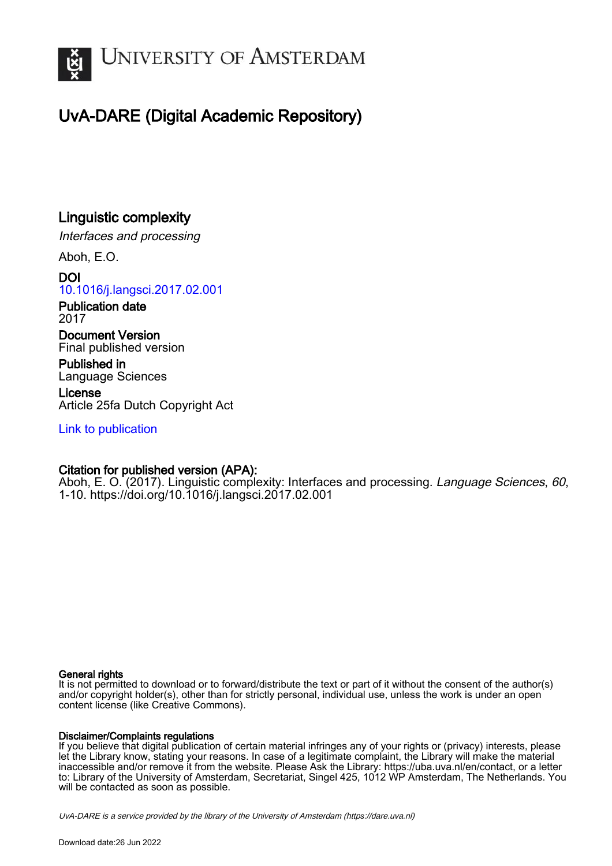

# UvA-DARE (Digital Academic Repository)

## Linguistic complexity

Interfaces and processing

Aboh, E.O.

DOI [10.1016/j.langsci.2017.02.001](https://doi.org/10.1016/j.langsci.2017.02.001)

Publication date 2017

Document Version Final published version

Published in Language Sciences

License Article 25fa Dutch Copyright Act

[Link to publication](https://dare.uva.nl/personal/pure/en/publications/linguistic-complexity(aee89962-6a91-409d-8109-975a6ce95e80).html)

### Citation for published version (APA):

Aboh, E. O. (2017). Linguistic complexity: Interfaces and processing. Language Sciences, 60, 1-10. <https://doi.org/10.1016/j.langsci.2017.02.001>

### General rights

It is not permitted to download or to forward/distribute the text or part of it without the consent of the author(s) and/or copyright holder(s), other than for strictly personal, individual use, unless the work is under an open content license (like Creative Commons).

### Disclaimer/Complaints regulations

If you believe that digital publication of certain material infringes any of your rights or (privacy) interests, please let the Library know, stating your reasons. In case of a legitimate complaint, the Library will make the material inaccessible and/or remove it from the website. Please Ask the Library: https://uba.uva.nl/en/contact, or a letter to: Library of the University of Amsterdam, Secretariat, Singel 425, 1012 WP Amsterdam, The Netherlands. You will be contacted as soon as possible.

UvA-DARE is a service provided by the library of the University of Amsterdam (http*s*://dare.uva.nl)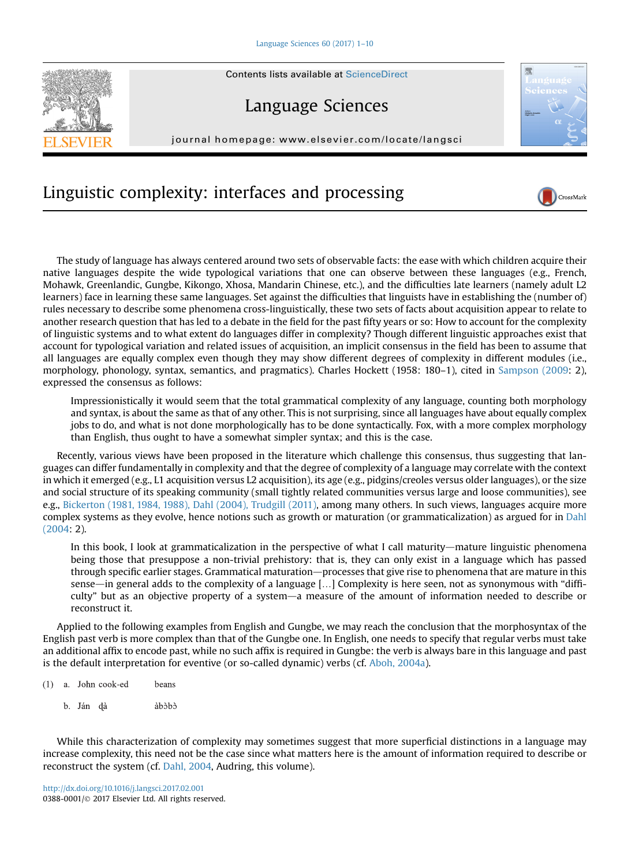

## Language Sciences

journal homepage: [www.elsevier.com/locate/langsci](http://www.elsevier.com/locate/langcom)



CrossMark

# Linguistic complexity: interfaces and processing

The study of language has always centered around two sets of observable facts: the ease with which children acquire their native languages despite the wide typological variations that one can observe between these languages (e.g., French, Mohawk, Greenlandic, Gungbe, Kikongo, Xhosa, Mandarin Chinese, etc.), and the difficulties late learners (namely adult L2 learners) face in learning these same languages. Set against the difficulties that linguists have in establishing the (number of) rules necessary to describe some phenomena cross-linguistically, these two sets of facts about acquisition appear to relate to another research question that has led to a debate in the field for the past fifty years or so: How to account for the complexity of linguistic systems and to what extent do languages differ in complexity? Though different linguistic approaches exist that account for typological variation and related issues of acquisition, an implicit consensus in the field has been to assume that all languages are equally complex even though they may show different degrees of complexity in different modules (i.e., morphology, phonology, syntax, semantics, and pragmatics). Charles Hockett (1958: 180-1), cited in [Sampson \(2009](#page-10-0): 2), expressed the consensus as follows:

Impressionistically it would seem that the total grammatical complexity of any language, counting both morphology and syntax, is about the same as that of any other. This is not surprising, since all languages have about equally complex jobs to do, and what is not done morphologically has to be done syntactically. Fox, with a more complex morphology than English, thus ought to have a somewhat simpler syntax; and this is the case.

Recently, various views have been proposed in the literature which challenge this consensus, thus suggesting that languages can differ fundamentally in complexity and that the degree of complexity of a language may correlate with the context in which it emerged (e.g., L1 acquisition versus L2 acquisition), its age (e.g., pidgins/creoles versus older languages), or the size and social structure of its speaking community (small tightly related communities versus large and loose communities), see e.g., [Bickerton \(1981, 1984, 1988\), Dahl \(2004\), Trudgill \(2011\)](#page-9-0), among many others. In such views, languages acquire more complex systems as they evolve, hence notions such as growth or maturation (or grammaticalization) as argued for in [Dahl](#page-9-0) [\(2004](#page-9-0): 2).

In this book, I look at grammaticalization in the perspective of what I call maturity—mature linguistic phenomena being those that presuppose a non-trivial prehistory: that is, they can only exist in a language which has passed through specific earlier stages. Grammatical maturation—processes that give rise to phenomena that are mature in this sense—in general adds to the complexity of a language  $[...]$  Complexity is here seen, not as synonymous with "difficulty" but as an objective property of a system—a measure of the amount of information needed to describe or reconstruct it.

Applied to the following examples from English and Gungbe, we may reach the conclusion that the morphosyntax of the English past verb is more complex than that of the Gungbe one. In English, one needs to specify that regular verbs must take an additional affix to encode past, while no such affix is required in Gungbe: the verb is always bare in this language and past is the default interpretation for eventive (or so-called dynamic) verbs (cf. [Aboh, 2004a\)](#page-9-0).

- $(1)$  a. John cook-ed beans
	- b. Ján dà àhàhà

While this characterization of complexity may sometimes suggest that more superficial distinctions in a language may increase complexity, this need not be the case since what matters here is the amount of information required to describe or reconstruct the system (cf. [Dahl, 2004](#page-9-0), Audring, this volume).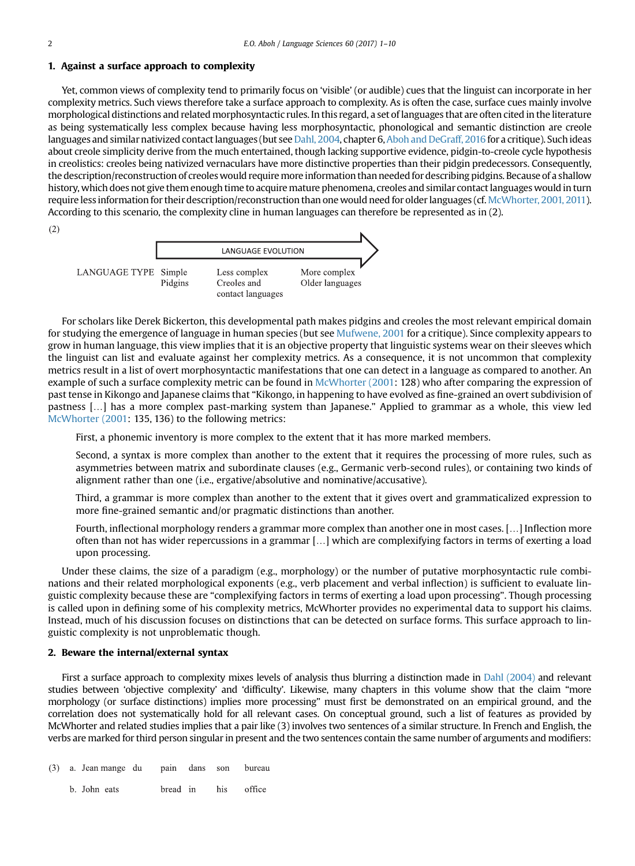#### 1. Against a surface approach to complexity

Yet, common views of complexity tend to primarily focus on 'visible' (or audible) cues that the linguist can incorporate in her complexity metrics. Such views therefore take a surface approach to complexity. As is often the case, surface cues mainly involve morphological distinctions and related morphosyntactic rules. In this regard, a set of languages that are often cited in the literature as being systematically less complex because having less morphosyntactic, phonological and semantic distinction are creole languages and similar nativized contact languages (but see [Dahl, 2004](#page-9-0), chapter 6, [Aboh and DeGraff, 2016](#page-9-0) for a critique). Such ideas about creole simplicity derive from the much entertained, though lacking supportive evidence, pidgin-to-creole cycle hypothesis in creolistics: creoles being nativized vernaculars have more distinctive properties than their pidgin predecessors. Consequently, the description/reconstruction of creoles would require more information than needed for describing pidgins. Because of a shallow history, which does not give them enough time to acquire mature phenomena, creoles and similar contact languages would in turn require less information for their description/reconstruction than one would need for older languages (cf. [McWhorter, 2001, 2011\)](#page-9-0). According to this scenario, the complexity cline in human languages can therefore be represented as in (2).





For scholars like Derek Bickerton, this developmental path makes pidgins and creoles the most relevant empirical domain for studying the emergence of language in human species (but see [Mufwene, 2001](#page-9-0) for a critique). Since complexity appears to grow in human language, this view implies that it is an objective property that linguistic systems wear on their sleeves which the linguist can list and evaluate against her complexity metrics. As a consequence, it is not uncommon that complexity metrics result in a list of overt morphosyntactic manifestations that one can detect in a language as compared to another. An example of such a surface complexity metric can be found in [McWhorter \(2001](#page-9-0): 128) who after comparing the expression of past tense in Kikongo and Japanese claims that "Kikongo, in happening to have evolved as fine-grained an overt subdivision of pastness [.] has a more complex past-marking system than Japanese." Applied to grammar as a whole, this view led [McWhorter \(2001](#page-9-0): 135, 136) to the following metrics:

First, a phonemic inventory is more complex to the extent that it has more marked members.

Second, a syntax is more complex than another to the extent that it requires the processing of more rules, such as asymmetries between matrix and subordinate clauses (e.g., Germanic verb-second rules), or containing two kinds of alignment rather than one (i.e., ergative/absolutive and nominative/accusative).

Third, a grammar is more complex than another to the extent that it gives overt and grammaticalized expression to more fine-grained semantic and/or pragmatic distinctions than another.

Fourth, inflectional morphology renders a grammar more complex than another one in most cases. [...] Inflection more often than not has wider repercussions in a grammar [...] which are complexifying factors in terms of exerting a load upon processing.

Under these claims, the size of a paradigm (e.g., morphology) or the number of putative morphosyntactic rule combinations and their related morphological exponents (e.g., verb placement and verbal inflection) is sufficient to evaluate linguistic complexity because these are "complexifying factors in terms of exerting a load upon processing". Though processing is called upon in defining some of his complexity metrics, McWhorter provides no experimental data to support his claims. Instead, much of his discussion focuses on distinctions that can be detected on surface forms. This surface approach to linguistic complexity is not unproblematic though.

### 2. Beware the internal/external syntax

First a surface approach to complexity mixes levels of analysis thus blurring a distinction made in [Dahl \(2004\)](#page-9-0) and relevant studies between 'objective complexity' and 'difficulty'. Likewise, many chapters in this volume show that the claim "more morphology (or surface distinctions) implies more processing" must first be demonstrated on an empirical ground, and the correlation does not systematically hold for all relevant cases. On conceptual ground, such a list of features as provided by McWhorter and related studies implies that a pair like (3) involves two sentences of a similar structure. In French and English, the verbs are marked for third person singular in present and the two sentences contain the same number of arguments and modifiers:

|  | (3) a. Jean mange du pain dans son bureau |  |                     |  |
|--|-------------------------------------------|--|---------------------|--|
|  | b. John eats                              |  | bread in his office |  |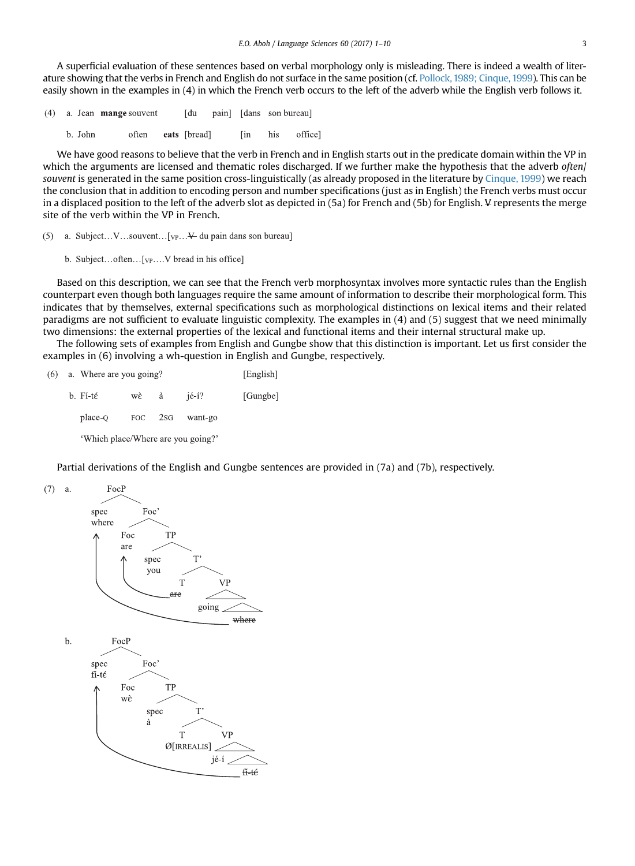A superficial evaluation of these sentences based on verbal morphology only is misleading. There is indeed a wealth of literature showing that the verbs in French and English do not surface in the same position (cf. [Pollock,1989; Cinque, 1999\)](#page-9-0). This can be easily shown in the examples in (4) in which the French verb occurs to the left of the adverb while the English verb follows it.

- a. Jean mange souvent **I** du pain] [dans son bureau]  $(4)$ 
	- b. John often eats [bread] office] **Fin** his

We have good reasons to believe that the verb in French and in English starts out in the predicate domain within the VP in which the arguments are licensed and thematic roles discharged. If we further make the hypothesis that the adverb often/ souvent is generated in the same position cross-linguistically (as already proposed in the literature by [Cinque, 1999](#page-9-0)) we reach the conclusion that in addition to encoding person and number specifications (just as in English) the French verbs must occur in a displaced position to the left of the adverb slot as depicted in (5a) for French and (5b) for English. V represents the merge site of the verb within the VP in French.

- (5) a. Subject... V...souvent... [ $VP...$  du pain dans son bureau]
	- b. Subject...often...[vp....V bread in his office]

Based on this description, we can see that the French verb morphosyntax involves more syntactic rules than the English counterpart even though both languages require the same amount of information to describe their morphological form. This indicates that by themselves, external specifications such as morphological distinctions on lexical items and their related paradigms are not sufficient to evaluate linguistic complexity. The examples in (4) and (5) suggest that we need minimally two dimensions: the external properties of the lexical and functional items and their internal structural make up.

The following sets of examples from English and Gungbe show that this distinction is important. Let us first consider the examples in (6) involving a wh-question in English and Gungbe, respectively.

| (6) | a. Where are you going?            |         | [English] |                  |          |
|-----|------------------------------------|---------|-----------|------------------|----------|
|     | b. Fí-té                           | wè –    | à         | $i\acute{e}$ -í? | [Gungbe] |
|     | place-Q                            | FOC 2SG | want-go   |                  |          |
|     | 'Which place/Where are you going?' |         |           |                  |          |

Partial derivations of the English and Gungbe sentences are provided in (7a) and (7b), respectively.

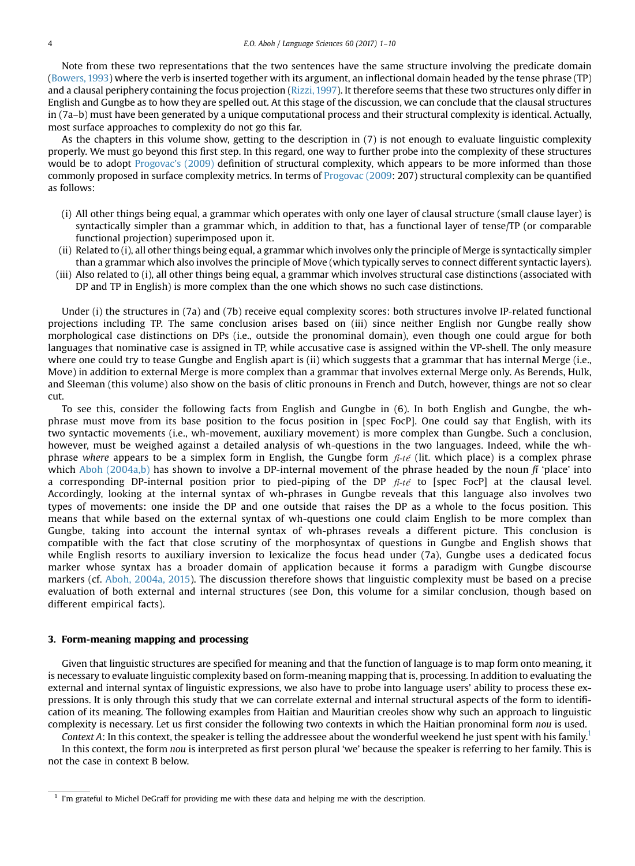Note from these two representations that the two sentences have the same structure involving the predicate domain [\(Bowers, 1993](#page-9-0)) where the verb is inserted together with its argument, an inflectional domain headed by the tense phrase (TP) and a clausal periphery containing the focus projection ([Rizzi, 1997](#page-10-0)). It therefore seems that these two structures only differ in English and Gungbe as to how they are spelled out. At this stage of the discussion, we can conclude that the clausal structures in (7a–b) must have been generated by a unique computational process and their structural complexity is identical. Actually, most surface approaches to complexity do not go this far.

As the chapters in this volume show, getting to the description in (7) is not enough to evaluate linguistic complexity properly. We must go beyond this first step. In this regard, one way to further probe into the complexity of these structures would be to adopt [Progovac](#page-10-0)'s (2009) definition of structural complexity, which appears to be more informed than those commonly proposed in surface complexity metrics. In terms of [Progovac \(2009](#page-10-0): 207) structural complexity can be quantified as follows:

- (i) All other things being equal, a grammar which operates with only one layer of clausal structure (small clause layer) is syntactically simpler than a grammar which, in addition to that, has a functional layer of tense/TP (or comparable functional projection) superimposed upon it.
- (ii) Related to (i), all other things being equal, a grammar which involves only the principle of Merge is syntactically simpler than a grammar which also involves the principle of Move (which typically serves to connect different syntactic layers).
- (iii) Also related to (i), all other things being equal, a grammar which involves structural case distinctions (associated with DP and TP in English) is more complex than the one which shows no such case distinctions.

Under (i) the structures in (7a) and (7b) receive equal complexity scores: both structures involve IP-related functional projections including TP. The same conclusion arises based on (iii) since neither English nor Gungbe really show morphological case distinctions on DPs (i.e., outside the pronominal domain), even though one could argue for both languages that nominative case is assigned in TP, while accusative case is assigned within the VP-shell. The only measure where one could try to tease Gungbe and English apart is (ii) which suggests that a grammar that has internal Merge (i.e., Move) in addition to external Merge is more complex than a grammar that involves external Merge only. As Berends, Hulk, and Sleeman (this volume) also show on the basis of clitic pronouns in French and Dutch, however, things are not so clear cut.

To see this, consider the following facts from English and Gungbe in (6). In both English and Gungbe, the whphrase must move from its base position to the focus position in [spec FocP]. One could say that English, with its two syntactic movements (i.e., wh-movement, auxiliary movement) is more complex than Gungbe. Such a conclusion, however, must be weighed against a detailed analysis of wh-questions in the two languages. Indeed, while the whphrase where appears to be a simplex form in English, the Gungbe form  $\tilde{\mu}$ -té (lit. which place) is a complex phrase which [Aboh \(2004a,b\)](#page-9-0) has shown to involve a DP-internal movement of the phrase headed by the noun  $\tilde{\mu}$  'place' into a corresponding DP-internal position prior to pied-piping of the DP  $\tilde{H}-t\tilde{\epsilon}$  to [spec FocP] at the clausal level. Accordingly, looking at the internal syntax of wh-phrases in Gungbe reveals that this language also involves two types of movements: one inside the DP and one outside that raises the DP as a whole to the focus position. This means that while based on the external syntax of wh-questions one could claim English to be more complex than Gungbe, taking into account the internal syntax of wh-phrases reveals a different picture. This conclusion is compatible with the fact that close scrutiny of the morphosyntax of questions in Gungbe and English shows that while English resorts to auxiliary inversion to lexicalize the focus head under (7a), Gungbe uses a dedicated focus marker whose syntax has a broader domain of application because it forms a paradigm with Gungbe discourse markers (cf. [Aboh, 2004a, 2015](#page-9-0)). The discussion therefore shows that linguistic complexity must be based on a precise evaluation of both external and internal structures (see Don, this volume for a similar conclusion, though based on different empirical facts).

### 3. Form-meaning mapping and processing

Given that linguistic structures are specified for meaning and that the function of language is to map form onto meaning, it is necessary to evaluate linguistic complexity based on form-meaning mapping that is, processing. In addition to evaluating the external and internal syntax of linguistic expressions, we also have to probe into language users' ability to process these expressions. It is only through this study that we can correlate external and internal structural aspects of the form to identification of its meaning. The following examples from Haitian and Mauritian creoles show why such an approach to linguistic complexity is necessary. Let us first consider the following two contexts in which the Haitian pronominal form nou is used.

Context A: In this context, the speaker is telling the addressee about the wonderful weekend he just spent with his family.<sup>1</sup> In this context, the form nou is interpreted as first person plural 'we' because the speaker is referring to her family. This is not the case in context B below.

<sup>&</sup>lt;sup>1</sup> I'm grateful to Michel DeGraff for providing me with these data and helping me with the description.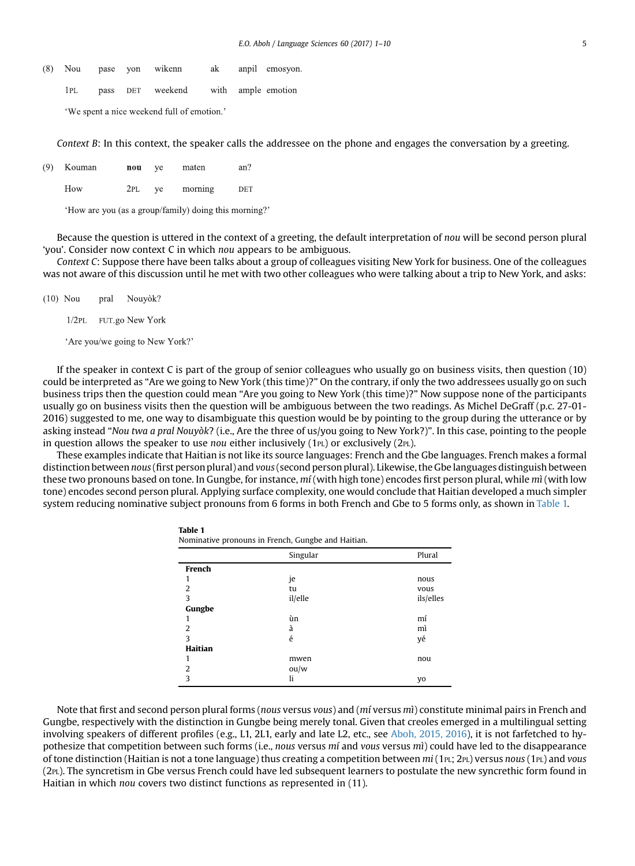|      |  | (8) Nou pase yon wikenn             |  | ak anpil emosyon |
|------|--|-------------------------------------|--|------------------|
| IPL. |  | pass DET weekend with ample emotion |  |                  |

'We spent a nice weekend full of emotion.'

Context B: In this context, the speaker calls the addressee on the phone and engages the conversation by a greeting.

| (9) | Kouman | nou | ve | maten   | an? |
|-----|--------|-----|----|---------|-----|
|     | How    | 2PL | ve | morning | DET |

'How are you (as a group/family) doing this morning?'

Table 1

Because the question is uttered in the context of a greeting, the default interpretation of nou will be second person plural 'you'. Consider now context C in which nou appears to be ambiguous.

Context C: Suppose there have been talks about a group of colleagues visiting New York for business. One of the colleagues was not aware of this discussion until he met with two other colleagues who were talking about a trip to New York, and asks:

 $(10)$  Nou Nouyòk? pral

1/2PL FUT.go New York

'Are you/we going to New York?'

If the speaker in context C is part of the group of senior colleagues who usually go on business visits, then question (10) could be interpreted as "Are we going to New York (this time)?" On the contrary, if only the two addressees usually go on such business trips then the question could mean "Are you going to New York (this time)?" Now suppose none of the participants usually go on business visits then the question will be ambiguous between the two readings. As Michel DeGraff (p.c. 27-01- 2016) suggested to me, one way to disambiguate this question would be by pointing to the group during the utterance or by asking instead "Nou twa a pral Nouyòk? (i.e., Are the three of us/you going to New York?)". In this case, pointing to the people in question allows the speaker to use nou either inclusively  $(1_{PL})$  or exclusively  $(2_{PL})$ .

These examples indicate that Haitian is not like its source languages: French and the Gbe languages. French makes a formal distinction between nous (first person plural) and vous (second person plural). Likewise, the Gbe languages distinguish between these two pronouns based on tone. In Gungbe, for instance, mí (with high tone) encodes first person plural, while mì (with low tone) encodes second person plural. Applying surface complexity, one would conclude that Haitian developed a much simpler system reducing nominative subject pronouns from 6 forms in both French and Gbe to 5 forms only, as shown in Table 1.

| Nominative pronouns in French, Gungbe and Haitian. |          |           |  |  |  |
|----------------------------------------------------|----------|-----------|--|--|--|
|                                                    | Singular | Plural    |  |  |  |
| French                                             |          |           |  |  |  |
| 1                                                  | je       | nous      |  |  |  |
| 2                                                  | tu       | vous      |  |  |  |
| 3                                                  | il/elle  | ils/elles |  |  |  |
| Gungbe                                             |          |           |  |  |  |
| 1                                                  | ùn       | mí        |  |  |  |
| 2                                                  | à        | mì        |  |  |  |
| 3                                                  | é        | yé        |  |  |  |
| Haitian                                            |          |           |  |  |  |
| 1                                                  | mwen     | nou       |  |  |  |
| $\overline{2}$                                     | ou/w     |           |  |  |  |
| 3                                                  | li       | yo        |  |  |  |

Note that first and second person plural forms (nous versus vous) and (mí versus mì) constitute minimal pairs in French and Gungbe, respectively with the distinction in Gungbe being merely tonal. Given that creoles emerged in a multilingual setting involving speakers of different profiles (e.g., L1, 2L1, early and late L2, etc., see [Aboh, 2015, 2016](#page-9-0)), it is not farfetched to hypothesize that competition between such forms (i.e., nous versus mí and vous versus mì) could have led to the disappearance of tone distinction (Haitian is not a tone language) thus creating a competition between  $mi(1_{PL}; 2_{PL})$  versus nous (1 $_{PL}$ ) and vous (2PL). The syncretism in Gbe versus French could have led subsequent learners to postulate the new syncrethic form found in Haitian in which nou covers two distinct functions as represented in (11).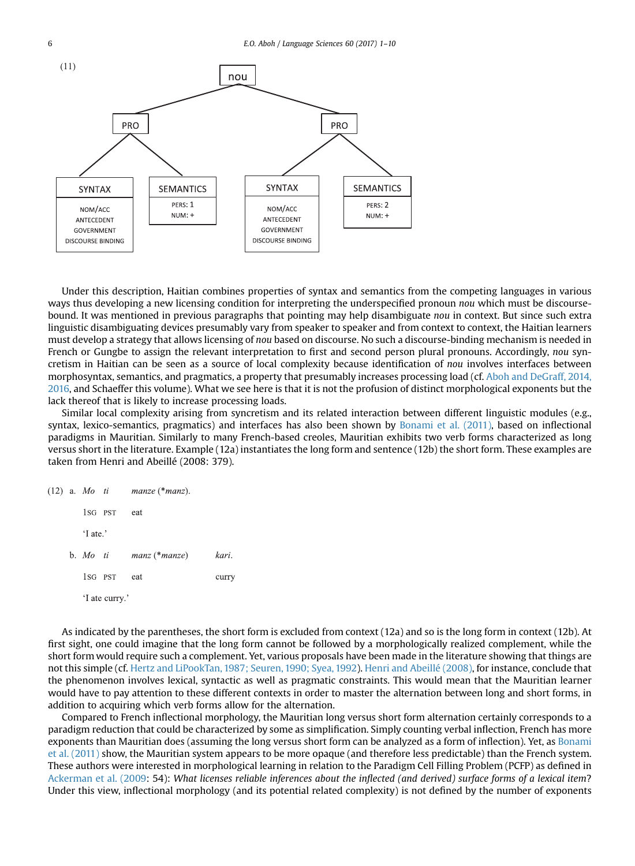

Under this description, Haitian combines properties of syntax and semantics from the competing languages in various ways thus developing a new licensing condition for interpreting the underspecified pronoun nou which must be discoursebound. It was mentioned in previous paragraphs that pointing may help disambiguate nou in context. But since such extra linguistic disambiguating devices presumably vary from speaker to speaker and from context to context, the Haitian learners must develop a strategy that allows licensing of nou based on discourse. No such a discourse-binding mechanism is needed in French or Gungbe to assign the relevant interpretation to first and second person plural pronouns. Accordingly, nou syncretism in Haitian can be seen as a source of local complexity because identification of nou involves interfaces between morphosyntax, semantics, and pragmatics, a property that presumably increases processing load (cf. [Aboh and DeGraff, 2014,](#page-9-0) [2016](#page-9-0), and Schaeffer this volume). What we see here is that it is not the profusion of distinct morphological exponents but the lack thereof that is likely to increase processing loads.

Similar local complexity arising from syncretism and its related interaction between different linguistic modules (e.g., syntax, lexico-semantics, pragmatics) and interfaces has also been shown by [Bonami et al. \(2011\)](#page-9-0), based on inflectional paradigms in Mauritian. Similarly to many French-based creoles, Mauritian exhibits two verb forms characterized as long versus short in the literature. Example (12a) instantiates the long form and sentence (12b) the short form. These examples are taken from Henri and Abeillé (2008: 379).

|  |          |                | $(12)$ a. Mo ti manze (*manz). |       |
|--|----------|----------------|--------------------------------|-------|
|  |          | 1sg PST        | eat                            |       |
|  | 'I ate.' |                |                                |       |
|  |          |                | b. Mo $ti$ manz (*manze)       | kari. |
|  |          | 1sg pst        | eat                            | curr  |
|  |          | 'I ate curry.' |                                |       |

As indicated by the parentheses, the short form is excluded from context (12a) and so is the long form in context (12b). At first sight, one could imagine that the long form cannot be followed by a morphologically realized complement, while the short form would require such a complement. Yet, various proposals have been made in the literature showing that things are not this simple (cf. [Hertz and LiPookTan, 1987; Seuren, 1990; Syea, 1992](#page-9-0)). [Henri and Abeillé \(2008\),](#page-9-0) for instance, conclude that the phenomenon involves lexical, syntactic as well as pragmatic constraints. This would mean that the Mauritian learner would have to pay attention to these different contexts in order to master the alternation between long and short forms, in addition to acquiring which verb forms allow for the alternation.

Compared to French inflectional morphology, the Mauritian long versus short form alternation certainly corresponds to a paradigm reduction that could be characterized by some as simplification. Simply counting verbal inflection, French has more exponents than Mauritian does (assuming the long versus short form can be analyzed as a form of inflection). Yet, as [Bonami](#page-9-0) [et al. \(2011\)](#page-9-0) show, the Mauritian system appears to be more opaque (and therefore less predictable) than the French system. These authors were interested in morphological learning in relation to the Paradigm Cell Filling Problem (PCFP) as defined in [Ackerman et al. \(2009](#page-9-0): 54): What licenses reliable inferences about the inflected (and derived) surface forms of a lexical item? Under this view, inflectional morphology (and its potential related complexity) is not defined by the number of exponents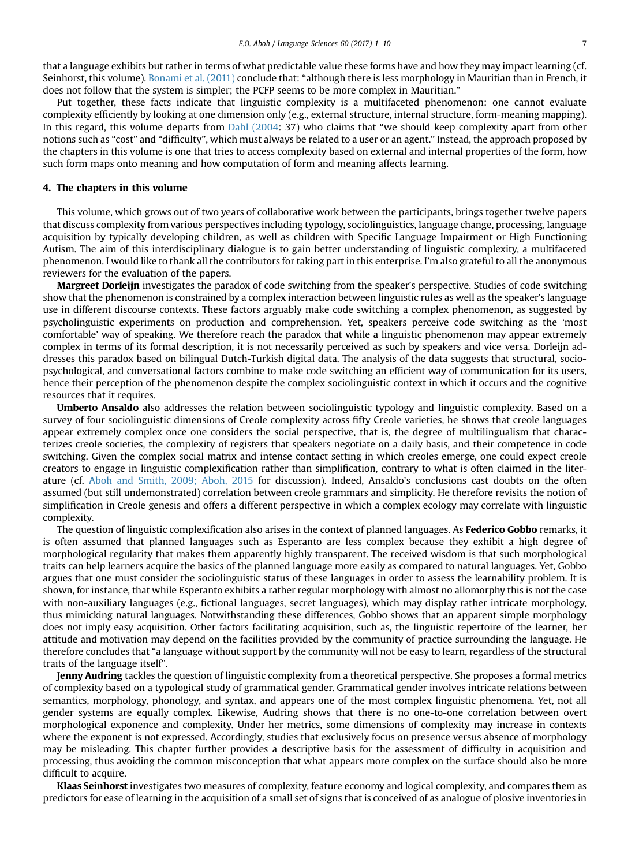that a language exhibits but rather in terms of what predictable value these forms have and how they may impact learning (cf. Seinhorst, this volume). [Bonami et al. \(2011\)](#page-9-0) conclude that: "although there is less morphology in Mauritian than in French, it does not follow that the system is simpler; the PCFP seems to be more complex in Mauritian."

Put together, these facts indicate that linguistic complexity is a multifaceted phenomenon: one cannot evaluate complexity efficiently by looking at one dimension only (e.g., external structure, internal structure, form-meaning mapping). In this regard, this volume departs from [Dahl \(2004:](#page-9-0) 37) who claims that "we should keep complexity apart from other notions such as "cost" and "difficulty", which must always be related to a user or an agent." Instead, the approach proposed by the chapters in this volume is one that tries to access complexity based on external and internal properties of the form, how such form maps onto meaning and how computation of form and meaning affects learning.

#### 4. The chapters in this volume

This volume, which grows out of two years of collaborative work between the participants, brings together twelve papers that discuss complexity from various perspectives including typology, sociolinguistics, language change, processing, language acquisition by typically developing children, as well as children with Specific Language Impairment or High Functioning Autism. The aim of this interdisciplinary dialogue is to gain better understanding of linguistic complexity, a multifaceted phenomenon. I would like to thank all the contributors for taking part in this enterprise. I'm also grateful to all the anonymous reviewers for the evaluation of the papers.

Margreet Dorleijn investigates the paradox of code switching from the speaker's perspective. Studies of code switching show that the phenomenon is constrained by a complex interaction between linguistic rules as well as the speaker's language use in different discourse contexts. These factors arguably make code switching a complex phenomenon, as suggested by psycholinguistic experiments on production and comprehension. Yet, speakers perceive code switching as the 'most comfortable' way of speaking. We therefore reach the paradox that while a linguistic phenomenon may appear extremely complex in terms of its formal description, it is not necessarily perceived as such by speakers and vice versa. Dorleijn addresses this paradox based on bilingual Dutch-Turkish digital data. The analysis of the data suggests that structural, sociopsychological, and conversational factors combine to make code switching an efficient way of communication for its users, hence their perception of the phenomenon despite the complex sociolinguistic context in which it occurs and the cognitive resources that it requires.

Umberto Ansaldo also addresses the relation between sociolinguistic typology and linguistic complexity. Based on a survey of four sociolinguistic dimensions of Creole complexity across fifty Creole varieties, he shows that creole languages appear extremely complex once one considers the social perspective, that is, the degree of multilingualism that characterizes creole societies, the complexity of registers that speakers negotiate on a daily basis, and their competence in code switching. Given the complex social matrix and intense contact setting in which creoles emerge, one could expect creole creators to engage in linguistic complexification rather than simplification, contrary to what is often claimed in the literature (cf. [Aboh and Smith, 2009; Aboh, 2015](#page-9-0) for discussion). Indeed, Ansaldo's conclusions cast doubts on the often assumed (but still undemonstrated) correlation between creole grammars and simplicity. He therefore revisits the notion of simplification in Creole genesis and offers a different perspective in which a complex ecology may correlate with linguistic complexity.

The question of linguistic complexification also arises in the context of planned languages. As **Federico Gobbo** remarks, it is often assumed that planned languages such as Esperanto are less complex because they exhibit a high degree of morphological regularity that makes them apparently highly transparent. The received wisdom is that such morphological traits can help learners acquire the basics of the planned language more easily as compared to natural languages. Yet, Gobbo argues that one must consider the sociolinguistic status of these languages in order to assess the learnability problem. It is shown, for instance, that while Esperanto exhibits a rather regular morphology with almost no allomorphy this is not the case with non-auxiliary languages (e.g., fictional languages, secret languages), which may display rather intricate morphology, thus mimicking natural languages. Notwithstanding these differences, Gobbo shows that an apparent simple morphology does not imply easy acquisition. Other factors facilitating acquisition, such as, the linguistic repertoire of the learner, her attitude and motivation may depend on the facilities provided by the community of practice surrounding the language. He therefore concludes that "a language without support by the community will not be easy to learn, regardless of the structural traits of the language itself".

Jenny Audring tackles the question of linguistic complexity from a theoretical perspective. She proposes a formal metrics of complexity based on a typological study of grammatical gender. Grammatical gender involves intricate relations between semantics, morphology, phonology, and syntax, and appears one of the most complex linguistic phenomena. Yet, not all gender systems are equally complex. Likewise, Audring shows that there is no one-to-one correlation between overt morphological exponence and complexity. Under her metrics, some dimensions of complexity may increase in contexts where the exponent is not expressed. Accordingly, studies that exclusively focus on presence versus absence of morphology may be misleading. This chapter further provides a descriptive basis for the assessment of difficulty in acquisition and processing, thus avoiding the common misconception that what appears more complex on the surface should also be more difficult to acquire.

Klaas Seinhorst investigates two measures of complexity, feature economy and logical complexity, and compares them as predictors for ease of learning in the acquisition of a small set of signs that is conceived of as analogue of plosive inventories in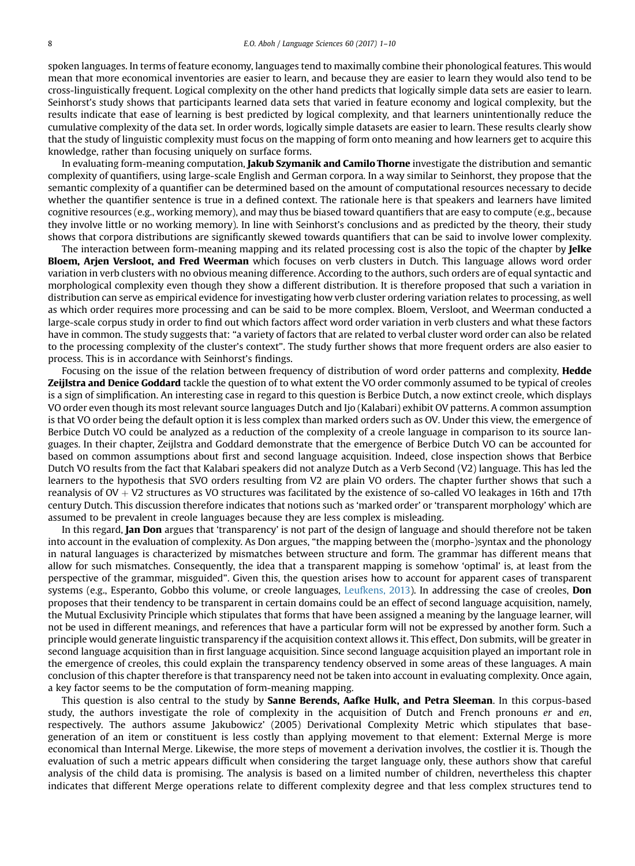spoken languages. In terms of feature economy, languages tend to maximally combine their phonological features. This would mean that more economical inventories are easier to learn, and because they are easier to learn they would also tend to be cross-linguistically frequent. Logical complexity on the other hand predicts that logically simple data sets are easier to learn. Seinhorst's study shows that participants learned data sets that varied in feature economy and logical complexity, but the results indicate that ease of learning is best predicted by logical complexity, and that learners unintentionally reduce the cumulative complexity of the data set. In order words, logically simple datasets are easier to learn. These results clearly show that the study of linguistic complexity must focus on the mapping of form onto meaning and how learners get to acquire this knowledge, rather than focusing uniquely on surface forms.

In evaluating form-meaning computation, Jakub Szymanik and Camilo Thorne investigate the distribution and semantic complexity of quantifiers, using large-scale English and German corpora. In a way similar to Seinhorst, they propose that the semantic complexity of a quantifier can be determined based on the amount of computational resources necessary to decide whether the quantifier sentence is true in a defined context. The rationale here is that speakers and learners have limited cognitive resources (e.g., working memory), and may thus be biased toward quantifiers that are easy to compute (e.g., because they involve little or no working memory). In line with Seinhorst's conclusions and as predicted by the theory, their study shows that corpora distributions are significantly skewed towards quantifiers that can be said to involve lower complexity.

The interaction between form-meaning mapping and its related processing cost is also the topic of the chapter by **Jelke** Bloem, Arjen Versloot, and Fred Weerman which focuses on verb clusters in Dutch. This language allows word order variation in verb clusters with no obvious meaning difference. According to the authors, such orders are of equal syntactic and morphological complexity even though they show a different distribution. It is therefore proposed that such a variation in distribution can serve as empirical evidence for investigating how verb cluster ordering variation relates to processing, as well as which order requires more processing and can be said to be more complex. Bloem, Versloot, and Weerman conducted a large-scale corpus study in order to find out which factors affect word order variation in verb clusters and what these factors have in common. The study suggests that: "a variety of factors that are related to verbal cluster word order can also be related to the processing complexity of the cluster's context". The study further shows that more frequent orders are also easier to process. This is in accordance with Seinhorst's findings.

Focusing on the issue of the relation between frequency of distribution of word order patterns and complexity, **Hedde** Zeijlstra and Denice Goddard tackle the question of to what extent the VO order commonly assumed to be typical of creoles is a sign of simplification. An interesting case in regard to this question is Berbice Dutch, a now extinct creole, which displays VO order even though its most relevant source languages Dutch and Ijo (Kalabari) exhibit OV patterns. A common assumption is that VO order being the default option it is less complex than marked orders such as OV. Under this view, the emergence of Berbice Dutch VO could be analyzed as a reduction of the complexity of a creole language in comparison to its source languages. In their chapter, Zeijlstra and Goddard demonstrate that the emergence of Berbice Dutch VO can be accounted for based on common assumptions about first and second language acquisition. Indeed, close inspection shows that Berbice Dutch VO results from the fact that Kalabari speakers did not analyze Dutch as a Verb Second (V2) language. This has led the learners to the hypothesis that SVO orders resulting from V2 are plain VO orders. The chapter further shows that such a reanalysis of  $OV + V2$  structures as VO structures was facilitated by the existence of so-called VO leakages in 16th and 17th century Dutch. This discussion therefore indicates that notions such as 'marked order' or 'transparent morphology' which are assumed to be prevalent in creole languages because they are less complex is misleading.

In this regard, **Jan Don** argues that 'transparency' is not part of the design of language and should therefore not be taken into account in the evaluation of complexity. As Don argues, "the mapping between the (morpho-)syntax and the phonology in natural languages is characterized by mismatches between structure and form. The grammar has different means that allow for such mismatches. Consequently, the idea that a transparent mapping is somehow 'optimal' is, at least from the perspective of the grammar, misguided". Given this, the question arises how to account for apparent cases of transparent systems (e.g., Esperanto, Gobbo this volume, or creole languages, [Leufkens, 2013\)](#page-9-0). In addressing the case of creoles, **Don** proposes that their tendency to be transparent in certain domains could be an effect of second language acquisition, namely, the Mutual Exclusivity Principle which stipulates that forms that have been assigned a meaning by the language learner, will not be used in different meanings, and references that have a particular form will not be expressed by another form. Such a principle would generate linguistic transparency if the acquisition context allows it. This effect, Don submits, will be greater in second language acquisition than in first language acquisition. Since second language acquisition played an important role in the emergence of creoles, this could explain the transparency tendency observed in some areas of these languages. A main conclusion of this chapter therefore is that transparency need not be taken into account in evaluating complexity. Once again, a key factor seems to be the computation of form-meaning mapping.

This question is also central to the study by **Sanne Berends, Aafke Hulk, and Petra Sleeman**. In this corpus-based study, the authors investigate the role of complexity in the acquisition of Dutch and French pronouns er and en, respectively. The authors assume Jakubowicz' (2005) Derivational Complexity Metric which stipulates that basegeneration of an item or constituent is less costly than applying movement to that element: External Merge is more economical than Internal Merge. Likewise, the more steps of movement a derivation involves, the costlier it is. Though the evaluation of such a metric appears difficult when considering the target language only, these authors show that careful analysis of the child data is promising. The analysis is based on a limited number of children, nevertheless this chapter indicates that different Merge operations relate to different complexity degree and that less complex structures tend to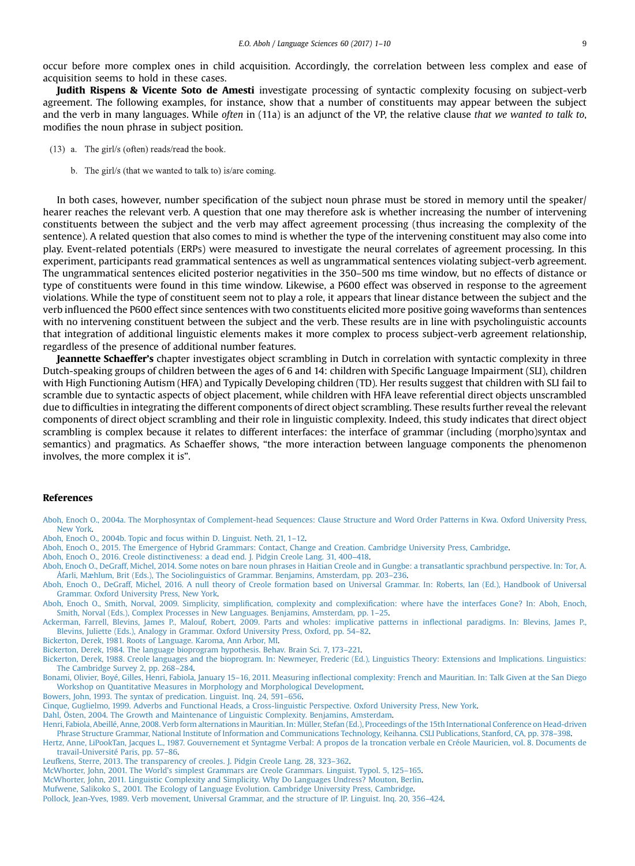<span id="page-9-0"></span>occur before more complex ones in child acquisition. Accordingly, the correlation between less complex and ease of acquisition seems to hold in these cases.

Judith Rispens & Vicente Soto de Amesti investigate processing of syntactic complexity focusing on subject-verb agreement. The following examples, for instance, show that a number of constituents may appear between the subject and the verb in many languages. While often in (11a) is an adjunct of the VP, the relative clause that we wanted to talk to, modifies the noun phrase in subject position.

- $(13)$  a. The girl/s (often) reads/read the book.
	- b. The girl/s (that we wanted to talk to) is/are coming.

In both cases, however, number specification of the subject noun phrase must be stored in memory until the speaker/ hearer reaches the relevant verb. A question that one may therefore ask is whether increasing the number of intervening constituents between the subject and the verb may affect agreement processing (thus increasing the complexity of the sentence). A related question that also comes to mind is whether the type of the intervening constituent may also come into play. Event-related potentials (ERPs) were measured to investigate the neural correlates of agreement processing. In this experiment, participants read grammatical sentences as well as ungrammatical sentences violating subject-verb agreement. The ungrammatical sentences elicited posterior negativities in the 350–500 ms time window, but no effects of distance or type of constituents were found in this time window. Likewise, a P600 effect was observed in response to the agreement violations. While the type of constituent seem not to play a role, it appears that linear distance between the subject and the verb influenced the P600 effect since sentences with two constituents elicited more positive going waveforms than sentences with no intervening constituent between the subject and the verb. These results are in line with psycholinguistic accounts that integration of additional linguistic elements makes it more complex to process subject-verb agreement relationship, regardless of the presence of additional number features.

Jeannette Schaeffer's chapter investigates object scrambling in Dutch in correlation with syntactic complexity in three Dutch-speaking groups of children between the ages of 6 and 14: children with Specific Language Impairment (SLI), children with High Functioning Autism (HFA) and Typically Developing children (TD). Her results suggest that children with SLI fail to scramble due to syntactic aspects of object placement, while children with HFA leave referential direct objects unscrambled due to difficulties in integrating the different components of direct object scrambling. These results further reveal the relevant components of direct object scrambling and their role in linguistic complexity. Indeed, this study indicates that direct object scrambling is complex because it relates to different interfaces: the interface of grammar (including (morpho)syntax and semantics) and pragmatics. As Schaeffer shows, "the more interaction between language components the phenomenon involves, the more complex it is".

#### References

[Aboh, Enoch O., 2004a. The Morphosyntax of Complement-head Sequences: Clause Structure and Word Order Patterns in Kwa. Oxford University Press,](http://refhub.elsevier.com/S0388-0001(17)30031-1/sref1) [New York.](http://refhub.elsevier.com/S0388-0001(17)30031-1/sref1)

[Aboh, Enoch O., 2004b. Topic and focus within D. Linguist. Neth. 21, 1](http://refhub.elsevier.com/S0388-0001(17)30031-1/sref2)–12.

[Aboh, Enoch O., 2015. The Emergence of Hybrid Grammars: Contact, Change and Creation. Cambridge University Press, Cambridge.](http://refhub.elsevier.com/S0388-0001(17)30031-1/sref3)

[Aboh, Enoch O., 2016. Creole distinctiveness: a dead end. J. Pidgin Creole Lang. 31, 400](http://refhub.elsevier.com/S0388-0001(17)30031-1/sref4)–418.

[Aboh, Enoch O., DeGraff, Michel, 2014. Some notes on bare noun phrases in Haitian Creole and in Gungbe: a transatlantic sprachbund perspective. In: Tor, A.](http://refhub.elsevier.com/S0388-0001(17)30031-1/sref5) [Åfarli, Mæhlum, Brit \(Eds.\), The Sociolinguistics of Grammar. Benjamins, Amsterdam, pp. 203](http://refhub.elsevier.com/S0388-0001(17)30031-1/sref5)–236.

[Aboh, Enoch O., DeGraff, Michel, 2016. A null theory of Creole formation based on Universal Grammar. In: Roberts, Ian \(Ed.\), Handbook of Universal](http://refhub.elsevier.com/S0388-0001(17)30031-1/sref6) [Grammar. Oxford University Press, New York](http://refhub.elsevier.com/S0388-0001(17)30031-1/sref6).

Aboh, Enoch O., Smith, Norval, 2009. Simplicity, simplification, complexity and complexifi[cation: where have the interfaces Gone? In: Aboh, Enoch,](http://refhub.elsevier.com/S0388-0001(17)30031-1/sref7) [Smith, Norval \(Eds.\), Complex Processes in New Languages. Benjamins, Amsterdam, pp. 1](http://refhub.elsevier.com/S0388-0001(17)30031-1/sref7)–25.

[Ackerman, Farrell, Blevins, James P., Malouf, Robert, 2009. Parts and wholes: implicative patterns in in](http://refhub.elsevier.com/S0388-0001(17)30031-1/sref8)flectional paradigms. In: Blevins, James P., [Blevins, Juliette \(Eds.\), Analogy in Grammar. Oxford University Press, Oxford, pp. 54](http://refhub.elsevier.com/S0388-0001(17)30031-1/sref8)–82.

[Bickerton, Derek, 1981. Roots of Language. Karoma, Ann Arbor, MI](http://refhub.elsevier.com/S0388-0001(17)30031-1/sref10).

[Bickerton, Derek, 1984. The language bioprogram hypothesis. Behav. Brain Sci. 7, 173](http://refhub.elsevier.com/S0388-0001(17)30031-1/sref11)–221.

[Bickerton, Derek, 1988. Creole languages and the bioprogram. In: Newmeyer, Frederic \(Ed.\), Linguistics Theory: Extensions and Implications. Linguistics:](http://refhub.elsevier.com/S0388-0001(17)30031-1/sref12) [The Cambridge Survey 2, pp. 268](http://refhub.elsevier.com/S0388-0001(17)30031-1/sref12)–284.

Bonami, Olivier, Boyé, Gilles, Henri, Fabiola, January 15–16, 2011. Measuring infl[ectional complexity: French and Mauritian. In: Talk Given at the San Diego](http://refhub.elsevier.com/S0388-0001(17)30031-1/sref13) [Workshop on Quantitative Measures in Morphology and Morphological Development](http://refhub.elsevier.com/S0388-0001(17)30031-1/sref13).

[Bowers, John, 1993. The syntax of predication. Linguist. Inq. 24, 591](http://refhub.elsevier.com/S0388-0001(17)30031-1/sref14)–656.

[Cinque, Guglielmo, 1999. Adverbs and Functional Heads, a Cross-linguistic Perspective. Oxford University Press, New York.](http://refhub.elsevier.com/S0388-0001(17)30031-1/sref15)

[Dahl, Östen, 2004. The Growth and Maintenance of Linguistic Complexity. Benjamins, Amsterdam](http://refhub.elsevier.com/S0388-0001(17)30031-1/sref16).

- [Henri, Fabiola, Abeillé, Anne, 2008. Verb form alternations in Mauritian. In: Müller, Stefan \(Ed.\), Proceedings of the 15th International Conference on Head-driven](http://refhub.elsevier.com/S0388-0001(17)30031-1/sref17) [Phrase Structure Grammar, National Institute of Information and Communications Technology, Keihanna. CSLI Publications, Stanford, CA, pp. 378](http://refhub.elsevier.com/S0388-0001(17)30031-1/sref17)–398.
- [Hertz, Anne, LiPookTan, Jacques L., 1987. Gouvernement et Syntagme Verbal: A propos de la troncation verbale en Créole Mauricien, vol. 8. Documents de](http://refhub.elsevier.com/S0388-0001(17)30031-1/sref18) [travail-Université Paris, pp. 57](http://refhub.elsevier.com/S0388-0001(17)30031-1/sref18)–86.

[Leufkens, Sterre, 2013. The transparency of creoles. J. Pidgin Creole Lang. 28, 323](http://refhub.elsevier.com/S0388-0001(17)30031-1/sref19)–362.

McWhorter, John, 2001. The World'[s simplest Grammars are Creole Grammars. Linguist. Typol. 5, 125](http://refhub.elsevier.com/S0388-0001(17)30031-1/sref20)–165.

[McWhorter, John, 2011. Linguistic Complexity and Simplicity. Why Do Languages Undress? Mouton, Berlin.](http://refhub.elsevier.com/S0388-0001(17)30031-1/sref21)

[Mufwene, Salikoko S., 2001. The Ecology of Language Evolution. Cambridge University Press, Cambridge.](http://refhub.elsevier.com/S0388-0001(17)30031-1/sref22)

[Pollock, Jean-Yves, 1989. Verb movement, Universal Grammar, and the structure of IP. Linguist. Inq. 20, 356](http://refhub.elsevier.com/S0388-0001(17)30031-1/sref23)–424.